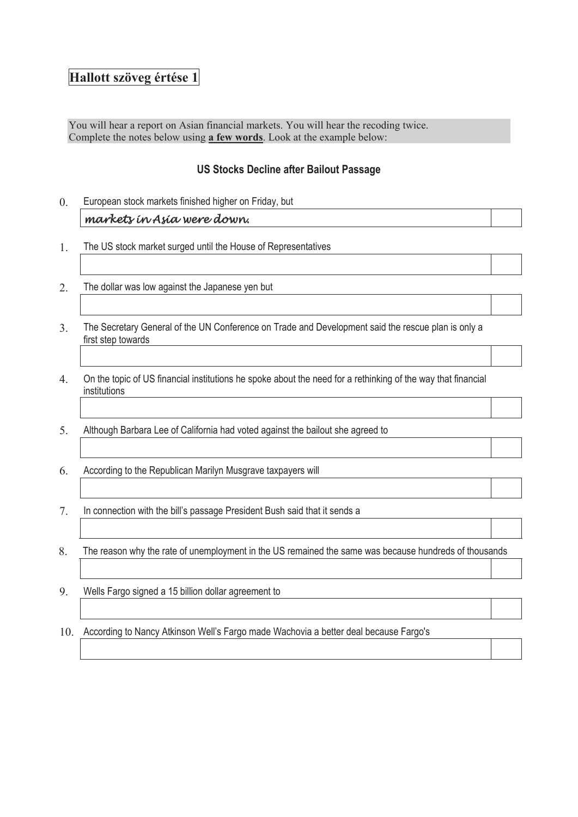## **Hallott szöveg értése 1**

You will hear a report on Asian financial markets. You will hear the recoding twice. Complete the notes below using **a few words**. Look at the example below:

## **US Stocks Decline after Bailout Passage**

- 0. European stock markets finished higher on Friday, but *markets in Asia were down.*
- 1. The US stock market surged until the House of Representatives
- 2. The dollar was low against the Japanese yen but
- 3. The Secretary General of the UN Conference on Trade and Development said the rescue plan is only a first step towards
- 4. On the topic of US financial institutions he spoke about the need for a rethinking of the way that financial institutions
- 5. Although Barbara Lee of California had voted against the bailout she agreed to
- 6. According to the Republican Marilyn Musgrave taxpayers will
- 7. In connection with the bill's passage President Bush said that it sends a
- 8. The reason why the rate of unemployment in the US remained the same was because hundreds of thousands
- 9. Wells Fargo signed a 15 billion dollar agreement to
- 10. According to Nancy Atkinson Well's Fargo made Wachovia a better deal because Fargo's